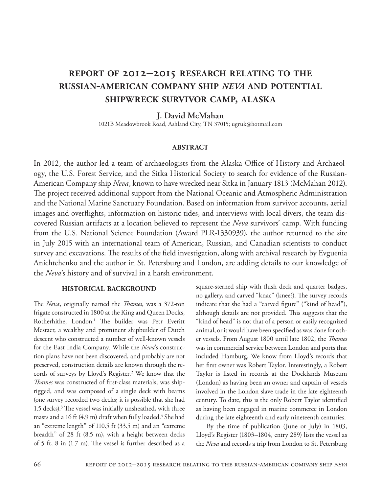# **report of 2012–2015 research relating to the russian-american company ship** *neva* **and potential shipwreck survivor camp, alaska**

## **J. David McMahan**

1021B Meadowbrook Road, Ashland City, TN 37015; ugruk@hotmail.com

#### **abstract**

In 2012, the author led a team of archaeologists from the Alaska Office of History and Archaeology, the U.S. Forest Service, and the Sitka Historical Society to search for evidence of the Russian-American Company ship *Neva*, known to have wrecked near Sitka in January 1813 (McMahan 2012). The project received additional support from the National Oceanic and Atmospheric Administration and the National Marine Sanctuary Foundation. Based on information from survivor accounts, aerial images and overflights, information on historic tides, and interviews with local divers, the team discovered Russian artifacts at a location believed to represent the *Neva* survivors' camp. With funding from the U.S. National Science Foundation (Award PLR-1330939), the author returned to the site in July 2015 with an international team of American, Russian, and Canadian scientists to conduct survey and excavations. The results of the field investigation, along with archival research by Evguenia Anichtchenko and the author in St. Petersburg and London, are adding details to our knowledge of the *Neva*'s history and of survival in a harsh environment.

#### **historical background**

The *Neva*, originally named the *Thames*, was a 372-ton frigate constructed in 1800 at the King and Queen Docks, Rotherhithe, London.<sup>1</sup> The builder was Petr Everitt Mestaer, a wealthy and prominent shipbuilder of Dutch descent who constructed a number of well-known vessels for the East India Company. While the *Neva*'s construction plans have not been discovered, and probably are not preserved, construction details are known through the records of surveys by Lloyd's Register.<sup>2</sup> We know that the *Thames* was constructed of first-class materials, was shiprigged, and was composed of a single deck with beams (one survey recorded two decks; it is possible that she had 1.5 decks).<sup>3</sup> The vessel was initially unsheathed, with three masts and a 16 ft (4.9 m) draft when fully loaded.<sup>4</sup> She had an "extreme length" of 110.5 ft (33.5 m) and an "extreme breadth" of 28 ft (8.5 m), with a height between decks of 5 ft, 8 in (1.7 m). The vessel is further described as a

square-sterned ship with flush deck and quarter badges, no gallery, and carved "knac" (knee?). The survey records indicate that she had a "carved figure" ("kind of head"), although details are not provided. This suggests that the "kind of head" is not that of a person or easily recognized animal, or it would have been specified as was done for other vessels. From August 1800 until late 1802, the *Thames* was in commercial service between London and ports that included Hamburg. We know from Lloyd's records that her first owner was Robert Taylor. Interestingly, a Robert Taylor is listed in records at the Docklands Museum (London) as having been an owner and captain of vessels involved in the London slave trade in the late eighteenth century. To date, this is the only Robert Taylor identified as having been engaged in marine commerce in London during the late eighteenth and early nineteenth centuries.

By the time of publication (June or July) in 1803, Lloyd's Register (1803–1804, entry 289) lists the vessel as the *Neva* and records a trip from London to St. Petersburg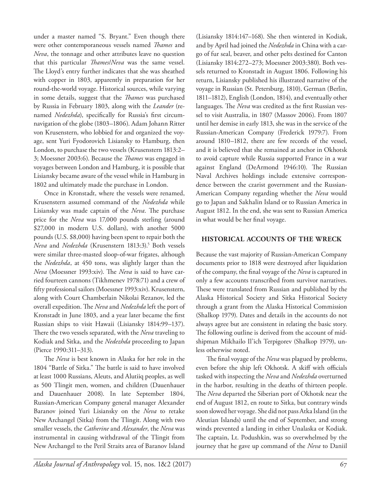under a master named "S. Bryant." Even though there were other contemporaneous vessels named *Thames* and *Neva*, the tonnage and other attributes leave no question that this particular *Thames*/*Neva* was the same vessel. The Lloyd's entry further indicates that she was sheathed with copper in 1803, apparently in preparation for her round-the-world voyage. Historical sources, while varying in some details, suggest that the *Thames* was purchased by Russia in February 1803, along with the *Leander* (renamed *Nedezhda*), specifically for Russia's first circumnavigation of the globe (1803–1806). Adam Johann Ritter von Krusenstern, who lobbied for and organized the voyage, sent Yuri Fyodorovich Lisiansky to Hamburg, then London, to purchase the two vessels (Krusenstern 1813:2– 3; Moessner 2003:6). Because the *Thames* was engaged in voyages between London and Hamburg, it is possible that Lisiansky became aware of the vessel while in Hamburg in 1802 and ultimately made the purchase in London.

Once in Kronstadt, where the vessels were renamed, Krusenstern assumed command of the *Nedezhda* while Lisiansky was made captain of the *Neva*. The purchase price for the *Neva* was 17,000 pounds sterling (around \$27,000 in modern U.S. dollars), with another 5000 pounds (U.S. \$8,000) having been spent to repair both the *Neva* and *Nedezhda* (Krusenstern 1813:3).5 Both vessels were similar three-masted sloop-of-war frigates, although the *Nedezhda*, at 450 tons, was slightly larger than the *Neva* (Moessner 1993:xiv). The *Neva* is said to have carried fourteen cannons (Tikhmenev 1978:71) and a crew of fifty professional sailors (Moessner 1993:xiv). Krusenstern, along with Court Chamberlain Nikolai Rezanov, led the overall expedition. The *Neva* and *Nedezhda* left the port of Kronstadt in June 1803, and a year later became the first Russian ships to visit Hawaii (Lisiansky 1814:99–137). There the two vessels separated, with the *Neva* traveling to Kodiak and Sitka, and the *Nedezhda* proceeding to Japan (Pierce 1990:311–313).

The *Neva* is best known in Alaska for her role in the 1804 "Battle of Sitka." The battle is said to have involved at least 1000 Russians, Aleuts, and Alutiiq peoples, as well as 500 Tlingit men, women, and children (Dauenhauer and Dauenhauer 2008). In late September 1804, Russian-American Company general manager Alexander Baranov joined Yuri Lisiansky on the *Neva* to retake New Archangel (Sitka) from the Tlingit. Along with two smaller vessels, the *Catherine* and *Alexander*, the *Neva* was instrumental in causing withdrawal of the Tlingit from New Archangel to the Peril Straits area of Baranov Island (Lisiansky 1814:147–168). She then wintered in Kodiak, and by April had joined the *Nedezhda* in China with a cargo of fur seal, beaver, and other pelts destined for Canton (Lisiansky 1814:272–273; Moessner 2003:380). Both vessels returned to Kronstadt in August 1806. Following his return, Lisiansky published his illustrated narrative of the voyage in Russian (St. Petersburg, 1810), German (Berlin, 1811–1812), English (London, 1814), and eventually other languages. The *Neva* was credited as the first Russian vessel to visit Australia, in 1807 (Massov 2006). From 1807 until her demise in early 1813, she was in the service of the Russian-American Company (Frederick 1979:7). From around 1810–1812, there are few records of the vessel, and it is believed that she remained at anchor in Okhotsk to avoid capture while Russia supported France in a war against England (DeArmond 1946:10). The Russian Naval Archives holdings include extensive correspondence between the czarist government and the Russian-American Company regarding whether the *Neva* would go to Japan and Sakhalin Island or to Russian America in August 1812. In the end, she was sent to Russian America in what would be her final voyage.

#### **historical accounts of the wreck**

Because the vast majority of Russian-American Company documents prior to 1818 were destroyed after liquidation of the company, the final voyage of the *Neva* is captured in only a few accounts transcribed from survivor narratives. These were translated from Russian and published by the Alaska Historical Society and Sitka Historical Society through a grant from the Alaska Historical Commission (Shalkop 1979). Dates and details in the accounts do not always agree but are consistent in relating the basic story. The following outline is derived from the account of midshipman Mikhailo Il'ich Terpigorev (Shalkop 1979), unless otherwise noted.

The final voyage of the *Neva* was plagued by problems, even before the ship left Okhotsk. A skiff with officials tasked with inspecting the *Neva* and *Nedezhda* overturned in the harbor, resulting in the deaths of thirteen people. The *Neva* departed the Siberian port of Okhotsk near the end of August 1812, en route to Sitka, but contrary winds soon slowed her voyage. She did not pass Atka Island (in the Aleutian Islands) until the end of September, and strong winds prevented a landing in either Unalaska or Kodiak. The captain, Lt. Podushkin, was so overwhelmed by the journey that he gave up command of the *Neva* to Daniil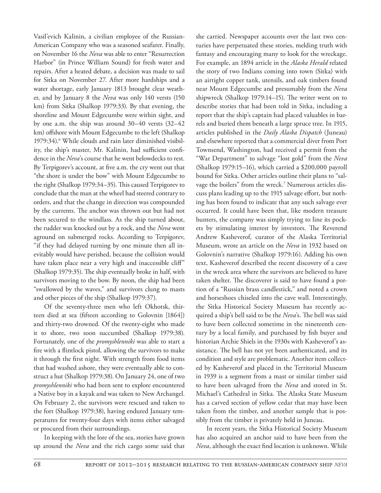Vasil'evich Kalinin, a civilian employee of the Russian-American Company who was a seasoned seafarer. Finally, on November 16 the *Neva* was able to enter "Resurrection Harbor" (in Prince William Sound) for fresh water and repairs. After a heated debate, a decision was made to sail for Sitka on November 27. After more hardships and a water shortage, early January 1813 brought clear weather, and by January 8 the *Neva* was only 140 versts (150 km) from Sitka (Shalkop 1979:33). By that evening, the shoreline and Mount Edgecumbe were within sight, and by one a.m. the ship was around 30–40 versts (32–42 km) offshore with Mount Edgecumbe to the left (Shalkop 1979:34).<sup>6</sup> While clouds and rain later diminished visibility, the ship's master, Mr. Kalinin, had sufficient confidence in the *Neva*'s course that he went belowdecks to rest. By Terpigorev's account, at five a.m. the cry went out that "the shore is under the bow" with Mount Edgecumbe to the right (Shalkop 1979:34–35). This caused Terpigorev to conclude that the man at the wheel had steered contrary to orders, and that the change in direction was compounded by the currents. The anchor was thrown out but had not been secured to the windlass. As the ship turned about, the rudder was knocked out by a rock, and the *Neva* went aground on submerged rocks. According to Terpigorev, "if they had delayed turning by one minute then all inevitably would have perished, because the collision would have taken place near a very high and inaccessible cliff" (Shalkop 1979:35). The ship eventually broke in half, with survivors moving to the bow. By noon, the ship had been "swallowed by the waves," and survivors clung to masts and other pieces of the ship (Shalkop 1979:37).

Of the seventy-three men who left Okhotsk, thirteen died at sea (fifteen according to Golovnin [1864]) and thirty-two drowned. Of the twenty-eight who made it to shore, two soon succumbed (Shalkop 1979:38). Fortunately, one of the *promyshlenniki* was able to start a fire with a flintlock pistol, allowing the survivors to make it through the first night. With strength from food items that had washed ashore, they were eventually able to construct a hut (Shalkop 1979:38). On January 24, one of two *promyshlenniki* who had been sent to explore encountered a Native boy in a kayak and was taken to New Archangel. On February 2, the survivors were rescued and taken to the fort (Shalkop 1979:38), having endured January temperatures for twenty-four days with items either salvaged or procured from their surroundings.

In keeping with the lore of the sea, stories have grown up around the *Neva* and the rich cargo some said that she carried. Newspaper accounts over the last two centuries have perpetuated these stories, melding truth with fantasy and encouraging many to look for the wreckage. For example, an 1894 article in the *Alaska Herald* related the story of two Indians coming into town (Sitka) with an airtight copper tank, utensils, and oak timbers found near Mount Edgecumbe and presumably from the *Neva* shipwreck (Shalkop 1979:14–15). The writer went on to describe stories that had been told in Sitka, including a report that the ship's captain had placed valuables in barrels and buried them beneath a large spruce tree. In 1915, articles published in the *Daily Alaska Dispatch* (Juneau) and elsewhere reported that a commercial diver from Port Townsend, Washington, had received a permit from the "War Department" to salvage "lost gold" from the *Neva* (Shalkop 1979:15–16), which carried a \$200,000 payroll bound for Sitka. Other articles outline their plans to "salvage the boilers" from the wreck.7 Numerous articles discuss plans leading up to the 1915 salvage effort, but nothing has been found to indicate that any such salvage ever occurred. It could have been that, like modern treasure hunters, the company was simply trying to line its pockets by stimulating interest by investors. The Reverend Andrew Kasheverof, curator of the Alaska Territorial Museum, wrote an article on the *Neva* in 1932 based on Golovnin's narrative (Shalkop 1979:16). Adding his own text, Kasheverof described the recent discovery of a cave in the wreck area where the survivors are believed to have taken shelter. The discoverer is said to have found a portion of a "Russian brass candlestick," and noted a crown and horseshoes chiseled into the cave wall. Interestingly, the Sitka Historical Society Museum has recently acquired a ship's bell said to be the *Neva*'s. The bell was said to have been collected sometime in the nineteenth century by a local family, and purchased by fish buyer and historian Archie Shiels in the 1930s with Kasheverof's assistance. The bell has not yet been authenticated, and its condition and style are problematic. Another item collected by Kasheverof and placed in the Territorial Museum in 1939 is a segment from a mast or similar timber said to have been salvaged from the *Neva* and stored in St. Michael's Cathedral in Sitka. The Alaska State Museum has a carved section of yellow cedar that may have been taken from the timber, and another sample that is possibly from the timber is privately held in Juneau.

In recent years, the Sitka Historical Society Museum has also acquired an anchor said to have been from the *Neva*, although the exact find location is unknown. While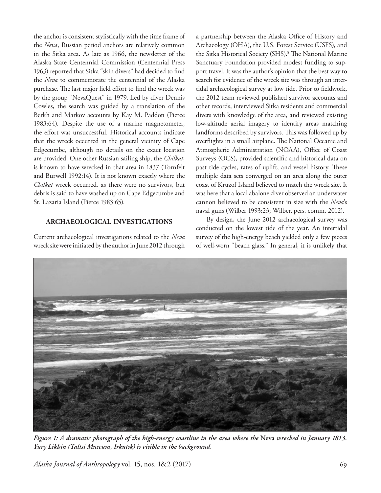the anchor is consistent stylistically with the time frame of the *Neva*, Russian period anchors are relatively common in the Sitka area. As late as 1966, the newsletter of the Alaska State Centennial Commission (Centennial Press 1963) reported that Sitka "skin divers" had decided to find the *Neva* to commemorate the centennial of the Alaska purchase. The last major field effort to find the wreck was by the group "NevaQuest" in 1979. Led by diver Dennis Cowles, the search was guided by a translation of the Berkh and Markov accounts by Kay M. Paddon (Pierce 1983:64). Despite the use of a marine magnetometer, the effort was unsuccessful. Historical accounts indicate that the wreck occurred in the general vicinity of Cape Edgecumbe, although no details on the exact location are provided. One other Russian sailing ship, the *Chilkat*, is known to have wrecked in that area in 1837 (Tornfelt and Burwell 1992:14). It is not known exactly where the *Chilkat* wreck occurred, as there were no survivors, but debris is said to have washed up on Cape Edgecumbe and St. Lazaria Island (Pierce 1983:65).

#### **archaeological investigations**

Current archaeological investigations related to the *Neva* wreck site were initiated by the author in June 2012 through a partnership between the Alaska Office of History and Archaeology (OHA), the U.S. Forest Service (USFS), and the Sitka Historical Society (SHS).<sup>8</sup> The National Marine Sanctuary Foundation provided modest funding to support travel. It was the author's opinion that the best way to search for evidence of the wreck site was through an intertidal archaeological survey at low tide. Prior to fieldwork, the 2012 team reviewed published survivor accounts and other records, interviewed Sitka residents and commercial divers with knowledge of the area, and reviewed existing low-altitude aerial imagery to identify areas matching landforms described by survivors. This was followed up by overflights in a small airplane. The National Oceanic and Atmospheric Administration (NOAA), Office of Coast Surveys (OCS), provided scientific and historical data on past tide cycles, rates of uplift, and vessel history. These multiple data sets converged on an area along the outer coast of Kruzof Island believed to match the wreck site. It was here that a local abalone diver observed an underwater cannon believed to be consistent in size with the *Neva*'s naval guns (Wilber 1993:23; Wilber, pers. comm. 2012).

By design, the June 2012 archaeological survey was conducted on the lowest tide of the year. An intertidal survey of the high-energy beach yielded only a few pieces of well-worn "beach glass." In general, it is unlikely that



*Figure 1: A dramatic photograph of the high-energy coastline in the area where the* **Neva** *wrecked in January 1813. Yury Likhin (Taltsi Museum, Irkutsk) is visible in the background.*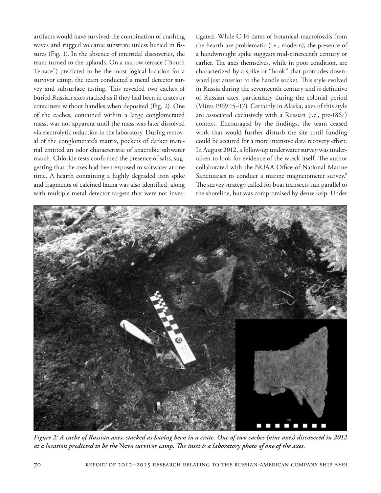artifacts would have survived the combination of crashing waves and rugged volcanic substrate unless buried in fissures (Fig. 1). In the absence of intertidal discoveries, the team turned to the uplands. On a narrow terrace ("South Terrace") predicted to be the most logical location for a survivor camp, the team conducted a metal detector survey and subsurface testing. This revealed two caches of buried Russian axes stacked as if they had been in crates or containers without handles when deposited (Fig. 2). One of the caches, contained within a large conglomerated mass, was not apparent until the mass was later dissolved via electrolytic reduction in the laboratory. During removal of the conglomerate's matrix, pockets of darker material emitted an odor characteristic of anaerobic saltwater marsh. Chloride tests confirmed the presence of salts, suggesting that the axes had been exposed to saltwater at one time. A hearth containing a highly degraded iron spike and fragments of calcined fauna was also identified, along with multiple metal detector targets that were not investigated. While C-14 dates of botanical macrofossils from the hearth are problematic (i.e., modern), the presence of a handwrought spike suggests mid-nineteenth century or earlier. The axes themselves, while in poor condition, are characterized by a spike or "hook" that protrudes downward just anterior to the handle socket. This style evolved in Russia during the seventeenth century and is definitive of Russian axes, particularly during the colonial period (Viires 1969:15–17). Certainly in Alaska, axes of this style are associated exclusively with a Russian (i.e., pre-1867) context. Encouraged by the findings, the team ceased work that would further disturb the site until funding could be secured for a more intensive data recovery effort. In August 2012, a follow-up underwater survey was undertaken to look for evidence of the wreck itself. The author collaborated with the NOAA Office of National Marine Sanctuaries to conduct a marine magnetometer survey.<sup>9</sup> The survey strategy called for boat transects run parallel to the shoreline, but was compromised by dense kelp. Under



*Figure 2: A cache of Russian axes, stacked as having been in a crate. One of two caches (nine axes) discovered in 2012 at a location predicted to be the* **Neva** *survivor camp. The inset is a laboratory photo of one of the axes.*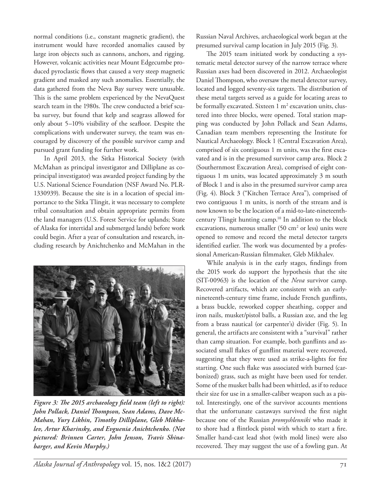normal conditions (i.e., constant magnetic gradient), the instrument would have recorded anomalies caused by large iron objects such as cannons, anchors, and rigging. However, volcanic activities near Mount Edgecumbe produced pyroclastic flows that caused a very steep magnetic gradient and masked any such anomalies. Essentially, the data gathered from the Neva Bay survey were unusable. This is the same problem experienced by the NevaQuest search team in the 1980s. The crew conducted a brief scuba survey, but found that kelp and seagrass allowed for only about 5–10% visibility of the seafloor. Despite the complications with underwater survey, the team was encouraged by discovery of the possible survivor camp and pursued grant funding for further work.

In April 2013, the Sitka Historical Society (with McMahan as principal investigator and Dilliplane as coprincipal investigator) was awarded project funding by the U.S. National Science Foundation (NSF Award No. PLR-1330939). Because the site is in a location of special importance to the Sitka Tlingit, it was necessary to complete tribal consultation and obtain appropriate permits from the land managers (U.S. Forest Service for uplands; State of Alaska for intertidal and submerged lands) before work could begin. After a year of consultation and research, including research by Anichtchenko and McMahan in the



*Figure 3: The 2015 archaeology field team (left to right): John Pollack, Daniel Thompson, Sean Adams, Dave Mc-Mahan, Yury Likhin, Timothy Dilliplane, Gleb Mikhalev, Artur Kharinsky, and Evguenia Anichtchenko. (Not pictured: Brinnen Carter, John Jenson, Travis Shinabarger, and Kevin Murphy.)*

Russian Naval Archives, archaeological work began at the presumed survival camp location in July 2015 (Fig. 3).

The 2015 team initiated work by conducting a systematic metal detector survey of the narrow terrace where Russian axes had been discovered in 2012. Archaeologist Daniel Thompson, who oversaw the metal detector survey, located and logged seventy-six targets. The distribution of these metal targets served as a guide for locating areas to be formally excavated. Sixteen 1 m<sup>2</sup> excavation units, clustered into three blocks, were opened. Total station mapping was conducted by John Pollack and Sean Adams, Canadian team members representing the Institute for Nautical Archaeology. Block 1 (Central Excavation Area), comprised of six contiguous 1 m units, was the first excavated and is in the presumed survivor camp area. Block 2 (Southernmost Excavation Area), comprised of eight contiguous 1 m units, was located approximately 3 m south of Block 1 and is also in the presumed survivor camp area (Fig. 4). Block 3 ("Kitchen Terrace Area"), comprised of two contiguous 1 m units, is north of the stream and is now known to be the location of a mid-to-late-nineteenthcentury Tlingit hunting camp.10 In addition to the block excavations, numerous smaller  $(50 \text{ cm}^2 \text{ or } \text{less})$  units were opened to remove and record the metal detector targets identified earlier. The work was documented by a professional American-Russian filmmaker, Gleb Mikhalev.

While analysis is in the early stages, findings from the 2015 work do support the hypothesis that the site (SIT-00963) is the location of the *Neva* survivor camp. Recovered artifacts, which are consistent with an earlynineteenth-century time frame, include French gunflints, a brass buckle, reworked copper sheathing, copper and iron nails, musket/pistol balls, a Russian axe, and the leg from a brass nautical (or carpenter's) divider (Fig. 5). In general, the artifacts are consistent with a "survival" rather than camp situation. For example, both gunflints and associated small flakes of gunflint material were recovered, suggesting that they were used as strike-a-lights for fire starting. One such flake was associated with burned (carbonized) grass, such as might have been used for tender. Some of the musket balls had been whittled, as if to reduce their size for use in a smaller-caliber weapon such as a pistol. Interestingly, one of the survivor accounts mentions that the unfortunate castaways survived the first night because one of the Russian *promyshlenniki* who made it to shore had a flintlock pistol with which to start a fire. Smaller hand-cast lead shot (with mold lines) were also recovered. They may suggest the use of a fowling gun. At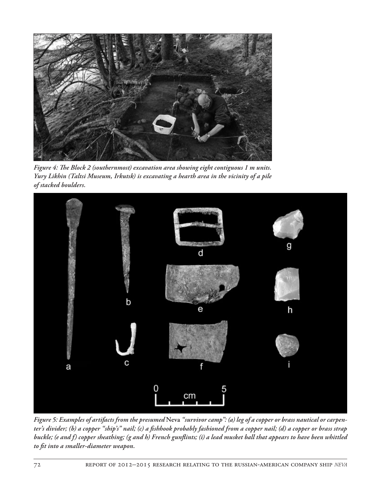

*Figure 4: The Block 2 (southernmost) excavation area showing eight contiguous 1 m units. Yury Likhin (Taltsi Museum, Irkutsk) is excavating a hearth area in the vicinity of a pile of stacked boulders.*



*Figure 5: Examples of artifacts from the presumed* **Neva** *"survivor camp": (a) leg of a copper or brass nautical or carpenter's divider; (b) a copper "ship's" nail; (c) a fishhook probably fashioned from a copper nail; (d) a copper or brass strap buckle; (e and f) copper sheathing; (g and h) French gunflints; (i) a lead musket ball that appears to have been whittled to fit into a smaller-diameter weapon.*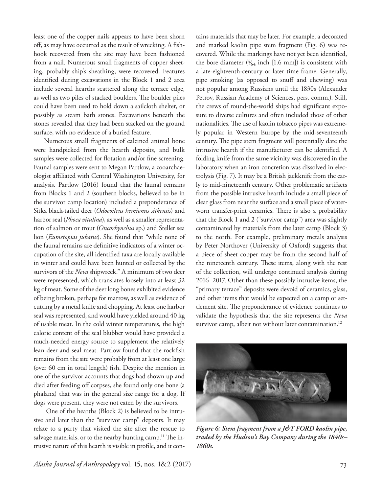least one of the copper nails appears to have been shorn off, as may have occurred as the result of wrecking. A fishhook recovered from the site may have been fashioned from a nail. Numerous small fragments of copper sheeting, probably ship's sheathing, were recovered. Features identified during excavations in the Block 1 and 2 area include several hearths scattered along the terrace edge, as well as two piles of stacked boulders. The boulder piles could have been used to hold down a sailcloth shelter, or possibly as steam bath stones. Excavations beneath the stones revealed that they had been stacked on the ground surface, with no evidence of a buried feature.

Numerous small fragments of calcined animal bone were handpicked from the hearth deposits, and bulk samples were collected for flotation and/or fine screening. Faunal samples were sent to Megan Partlow, a zooarchaeologist affiliated with Central Washington University, for analysis. Partlow (2016) found that the faunal remains from Blocks 1 and 2 (southern blocks, believed to be in the survivor camp location) included a preponderance of Sitka black-tailed deer (*Odocoileus hemionus sitkensis*) and harbor seal (*Phoca vitulina*), as well as a smaller representation of salmon or trout (*Oncorhynchus* sp.) and Steller sea lion (*Eumetopias jubatus*). She found that "while none of the faunal remains are definitive indicators of a winter occupation of the site, all identified taxa are locally available in winter and could have been hunted or collected by the survivors of the *Neva* shipwreck." A minimum of two deer were represented, which translates loosely into at least 32 kg of meat. Some of the deer long bones exhibited evidence of being broken, perhaps for marrow, as well as evidence of cutting by a metal knife and chopping. At least one harbor seal was represented, and would have yielded around 40 kg of usable meat. In the cold winter temperatures, the high calorie content of the seal blubber would have provided a much-needed energy source to supplement the relatively lean deer and seal meat. Partlow found that the rockfish remains from the site were probably from at least one large (over 60 cm in total length) fish. Despite the mention in one of the survivor accounts that dogs had shown up and died after feeding off corpses, she found only one bone (a phalanx) that was in the general size range for a dog. If dogs were present, they were not eaten by the survivors.

 One of the hearths (Block 2) is believed to be intrusive and later than the "survivor camp" deposits. It may relate to a party that visited the site after the rescue to salvage materials, or to the nearby hunting camp.<sup>11</sup> The intrusive nature of this hearth is visible in profile, and it contains materials that may be later. For example, a decorated and marked kaolin pipe stem fragment (Fig. 6) was recovered. While the markings have not yet been identified, the bore diameter ( $\frac{4}{64}$  inch [1.6 mm]) is consistent with a late-eighteenth-century or later time frame. Generally, pipe smoking (as opposed to snuff and chewing) was not popular among Russians until the 1830s (Alexander Petrov, Russian Academy of Sciences, pers. comm.). Still, the crews of round-the-world ships had significant exposure to diverse cultures and often included those of other nationalities. The use of kaolin tobacco pipes was extremely popular in Western Europe by the mid-seventeenth century. The pipe stem fragment will potentially date the intrusive hearth if the manufacturer can be identified. A folding knife from the same vicinity was discovered in the laboratory when an iron concretion was dissolved in electrolysis (Fig. 7). It may be a British jackknife from the early to mid-nineteenth century. Other problematic artifacts from the possible intrusive hearth include a small piece of clear glass from near the surface and a small piece of waterworn transfer-print ceramics. There is also a probability that the Block 1 and 2 ("survivor camp") area was slightly contaminated by materials from the later camp (Block 3) to the north. For example, preliminary metals analysis by Peter Northover (University of Oxford) suggests that a piece of sheet copper may be from the second half of the nineteenth century. These items, along with the rest of the collection, will undergo continued analysis during 2016–2017. Other than these possibly intrusive items, the "primary terrace" deposits were devoid of ceramics, glass, and other items that would be expected on a camp or settlement site. The preponderance of evidence continues to validate the hypothesis that the site represents the *Neva* survivor camp, albeit not without later contamination.<sup>12</sup>



*Figure 6: Stem fragment from a J&T FORD kaolin pipe, traded by the Hudson's Bay Company during the 1840s– 1860s.*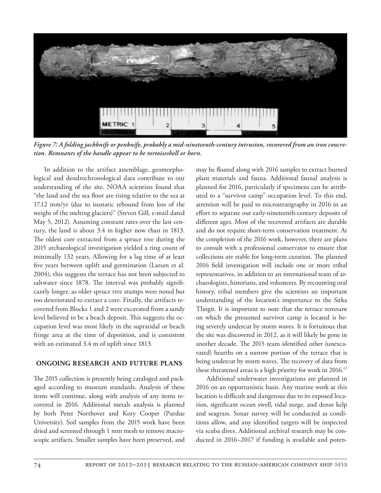

*Figure 7: A folding jackknife or penknife, probably a mid-nineteenth-century intrusion, recovered from an iron concretion. Remnants of the handle appear to be tortoiseshell or horn.*

In addition to the artifact assemblage, geomorphological and dendrochronological data contribute to our understanding of the site. NOAA scientists found that "the land and the sea floor are rising relative to the sea at 17.12 mm/yr (due to isostatic rebound from loss of the weight of the melting glaciers)" (Steven Gill, e-mail dated May 5, 2012). Assuming constant rates over the last century, the land is about 3.4 m higher now than in 1813. The oldest core extracted from a spruce tree during the 2015 archaeological investigation yielded a ring count of minimally 132 years. Allowing for a lag time of at least five years between uplift and germination (Larsen et al. 2004), this suggests the terrace has not been subjected to saltwater since 1878. The interval was probably significantly longer, as older spruce tree stumps were noted but too deteriorated to extract a core. Finally, the artifacts recovered from Blocks 1 and 2 were excavated from a sandy level believed to be a beach deposit. This suggests the occupation level was most likely in the supratidal or beach fringe area at the time of deposition, and is consistent with an estimated 3.4 m of uplift since 1813.

#### **ongoing research and future plans**

The 2015 collection is presently being cataloged and packaged according to museum standards. Analysis of these items will continue, along with analysis of any items recovered in 2016. Additional metals analysis is planned by both Peter Northover and Kory Cooper (Purdue University). Soil samples from the 2015 work have been dried and screened through 1 mm mesh to remove macroscopic artifacts. Smaller samples have been preserved, and may be floated along with 2016 samples to extract burned plant materials and fauna. Additional faunal analysis is planned for 2016, particularly if specimens can be attributed to a "survivor camp" occupation level. To this end, attention will be paid to microstratigraphy in 2016 in an effort to separate out early-nineteenth-century deposits of different ages. Most of the recovered artifacts are durable and do not require short-term conservation treatment. At the completion of the 2016 work, however, there are plans to consult with a professional conservator to ensure that collections are stable for long-term curation. The planned 2016 field investigation will include one or more tribal representatives, in addition to an international team of archaeologists, historians, and volunteers. By recounting oral history, tribal members give the scientists an important understanding of the location's importance to the Sitka Tlingit. It is important to note that the terrace remnant on which the presumed survivor camp is located is being severely undercut by storm waves. It is fortuitous that the site was discovered in 2012, as it will likely be gone in another decade. The 2015 team identified other (unexcavated) hearths on a narrow portion of the terrace that is being undercut by storm waves. The recovery of data from these threatened areas is a high priority for work in 2016.<sup>13</sup>

Additional underwater investigations are planned in 2016 on an opportunistic basis. Any marine work at this location is difficult and dangerous due to its exposed location, significant ocean swell, tidal surge, and dense kelp and seagrass. Sonar survey will be conducted as conditions allow, and any identified targets will be inspected via scuba dives. Additional archival research may be conducted in 2016–2017 if funding is available and poten-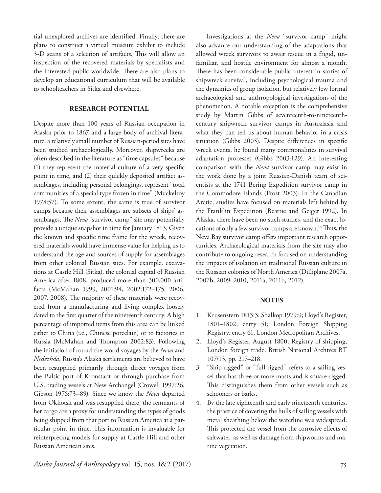tial unexplored archives are identified. Finally, there are plans to construct a virtual museum exhibit to include 3-D scans of a selection of artifacts. This will allow an inspection of the recovered materials by specialists and the interested public worldwide. There are also plans to develop an educational curriculum that will be available to schoolteachers in Sitka and elsewhere.

### **research potential**

Despite more than 100 years of Russian occupation in Alaska prior to 1867 and a large body of archival literature, a relatively small number of Russian-period sites have been studied archaeologically. Moreover, shipwrecks are often described in the literature as "time capsules" because (1) they represent the material culture of a very specific point in time, and (2) their quickly deposited artifact assemblages, including personal belongings, represent "total communities of a special type frozen in time" (Muckelroy 1978:57). To some extent, the same is true of survivor camps because their assemblages are subsets of ships' assemblages. The *Neva* "survivor camp" site may potentially provide a unique snapshot in time for January 1813. Given the known and specific time frame for the wreck, recovered materials would have immense value for helping us to understand the age and sources of supply for assemblages from other colonial Russian sites. For example, excavations at Castle Hill (Sitka), the colonial capital of Russian America after 1808, produced more than 300,000 artifacts (McMahan 1999, 2001:94, 2002:172–175, 2006, 2007, 2008). The majority of these materials were recovered from a manufacturing and living complex loosely dated to the first quarter of the nineteenth century. A high percentage of imported items from this area can be linked either to China (i.e., Chinese porcelain) or to factories in Russia (McMahan and Thompson 2002:83). Following the initiation of round-the-world voyages by the *Neva* and *Nedezhda*, Russia's Alaska settlements are believed to have been resupplied primarily through direct voyages from the Baltic port of Kronstadt or through purchase from U.S. trading vessels at New Archangel (Crowell 1997:26; Gibson 1976:73–89). Since we know the *Neva* departed from Okhotsk and was resupplied there, the remnants of her cargo are a proxy for understanding the types of goods being shipped from that port to Russian America at a particular point in time. This information is invaluable for reinterpreting models for supply at Castle Hill and other Russian American sites.

Investigations at the *Neva* "survivor camp" might also advance our understanding of the adaptations that allowed wreck survivors to await rescue in a frigid, unfamiliar, and hostile environment for almost a month. There has been considerable public interest in stories of shipwreck survival, including psychological trauma and the dynamics of group isolation, but relatively few formal archaeological and anthropological investigations of the phenomenon. A notable exception is the comprehensive study by Martin Gibbs of seventeenth-to-nineteenthcentury shipwreck survivor camps in Australasia and what they can tell us about human behavior in a crisis situation (Gibbs 2003). Despite differences in specific wreck events, he found many commonalities in survival adaptation processes (Gibbs 2003:129). An interesting comparison with the *Neva* survivor camp may exist in the work done by a joint Russian-Danish team of scientists at the 1741 Bering Expedition survivor camp in the Commodore Islands (Frost 2003). In the Canadian Arctic, studies have focused on materials left behind by the Franklin Expedition (Beattie and Geiger 1992). In Alaska, there have been no such studies, and the exact locations of only a few survivor camps are known.<sup>14</sup> Thus, the Neva Bay survivor camp offers important research opportunities. Archaeological materials from the site may also contribute to ongoing research focused on understanding the impacts of isolation on traditional Russian culture in the Russian colonies of North America (Dilliplane 2007a, 2007b, 2009, 2010, 2011a, 2011b, 2012).

#### **notes**

- 1. Krusenstern 1813:3; Shalkop 1979:9; Lloyd's Register, 1801–1802, entry 51; London Foreign Shipping Registry, entry 61, London Metropolitan Archives.
- 2. Lloyd's Register, August 1800; Registry of shipping, London foreign trade, British National Archives BT 107/13, pp. 217–218.
- 3. "Ship-rigged" or "full-rigged" refers to a sailing vessel that has three or more masts and is square-rigged. This distinguishes them from other vessels such as schooners or barks.
- By the late eighteenth and early nineteenth centuries, the practice of covering the hulls of sailing vessels with metal sheathing below the waterline was widespread. This protected the vessel from the corrosive effects of saltwater, as well as damage from shipworms and marine vegetation.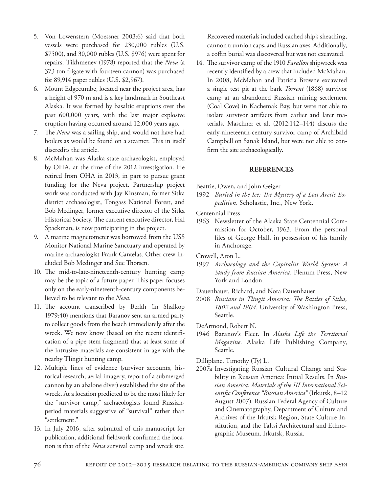- 5. Von Lowenstern (Moessner 2003:6) said that both vessels were purchased for 230,000 rubles (U.S. \$7500), and 30,000 rubles (U.S. \$976) were spent for repairs. Tikhmenev (1978) reported that the *Neva* (a 373 ton frigate with fourteen cannon) was purchased for 89,914 paper rubles (U.S. \$2,967).
- 6. Mount Edgecumbe, located near the project area, has a height of 970 m and is a key landmark in Southeast Alaska. It was formed by basaltic eruptions over the past 600,000 years, with the last major explosive eruption having occurred around 12,000 years ago.
- 7. The *Neva* was a sailing ship, and would not have had boilers as would be found on a steamer. This in itself discredits the article.
- 8. McMahan was Alaska state archaeologist, employed by OHA, at the time of the 2012 investigation. He retired from OHA in 2013, in part to pursue grant funding for the Neva project. Partnership project work was conducted with Jay Kinsman, former Sitka district archaeologist, Tongass National Forest, and Bob Medinger, former executive director of the Sitka Historical Society. The current executive director, Hal Spackman, is now participating in the project.
- 9. A marine magnetometer was borrowed from the USS Monitor National Marine Sanctuary and operated by marine archaeologist Frank Cantelas. Other crew included Bob Medinger and Sue Thorsen.
- 10. The mid-to-late-nineteenth-century hunting camp may be the topic of a future paper. This paper focuses only on the early-nineteenth-century components believed to be relevant to the *Neva*.
- 11. The account transcribed by Berkh (in Shalkop 1979:40) mentions that Baranov sent an armed party to collect goods from the beach immediately after the wreck. We now know (based on the recent identification of a pipe stem fragment) that at least some of the intrusive materials are consistent in age with the nearby Tlingit hunting camp.
- 12. Multiple lines of evidence (survivor accounts, historical research, aerial imagery, report of a submerged cannon by an abalone diver) established the site of the wreck. At a location predicted to be the most likely for the "survivor camp," archaeologists found Russianperiod materials suggestive of "survival" rather than "settlement."
- 13. In July 2016, after submittal of this manuscript for publication, additional fieldwork confirmed the location is that of the *Neva* survival camp and wreck site.

Recovered materials included cached ship's sheathing, cannon trunnion caps, and Russian axes. Additionally, a coffin burial was discovered but was not excavated.

14. The survivor camp of the 1910 *Farallon* shipwreck was recently identified by a crew that included McMahan. In 2008, McMahan and Patricia Browne excavated a single test pit at the bark *Torrent* (1868) survivor camp at an abandoned Russian mining settlement (Coal Cove) in Kachemak Bay, but were not able to isolate survivor artifacts from earlier and later materials. Maschner et al. (2012:142–144) discuss the early-nineteenth-century survivor camp of Archibald Campbell on Sanak Island, but were not able to confirm the site archaeologically.

## **references**

- Beattie, Owen, and John Geiger
- 1992 *Buried in the Ice: The Mystery of a Lost Arctic Expedition*. Scholastic, Inc., New York.

Centennial Press

- 1963 Newsletter of the Alaska State Centennial Commission for October, 1963. From the personal files of George Hall, in possession of his family in Anchorage.
- Crowell, Aron L.
- 1997 *Archaeology and the Capitalist World System: A Study from Russian America*. Plenum Press, New York and London.
- Dauenhauer, Richard, and Nora Dauenhauer
- 2008 *Russians in Tlingit America: The Battles of Sitka, 1802 and 1804*. University of Washington Press, Seattle.
- DeArmond, Robert N.
- 1946 Baranov's Fleet. In *Alaska Life the Territorial Magazine*. Alaska Life Publishing Company, Seattle.
- Dilliplane, Timothy (Ty) L.
- 2007a Investigating Russian Cultural Change and Stability in Russian America: Initial Results. In *Russian America: Materials of the III International Scientific Conference "Russian America"* (Irkutsk, 8–12 August 2007). Russian Federal Agency of Culture and Cinematography, Department of Culture and Archives of the Irkutsk Region, State Culture Institution, and the Taltsi Architectural and Ethnographic Museum. Irkutsk, Russia.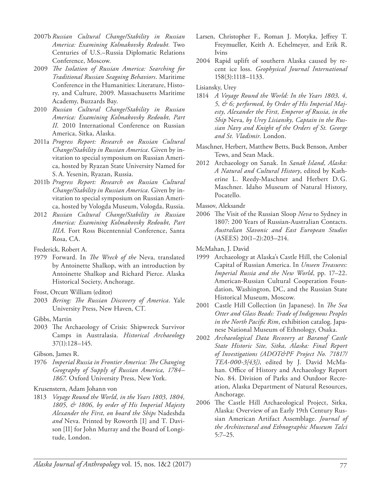- 2007b *Russian Cultural Change/Stability in Russian America: Examining Kolmakovsky Redoubt.* Two Centuries of U.S.–Russia Diplomatic Relations Conference, Moscow.
- 2009 *The Isolation of Russian America: Searching for Traditional Russian Seagoing Behaviors*. Maritime Conference in the Humanities: Literature, History, and Culture, 2009. Massachusetts Maritime Academy, Buzzards Bay.
- 2010 *Russian Cultural Change/Stability in Russian America: Examining Kolmakovsky Redoubt, Part II*. 2010 International Conference on Russian America, Sitka, Alaska.
- 2011a *Progress Report: Research on Russian Cultural Change/Stability in Russian America*. Given by invitation to special symposium on Russian America, hosted by Ryazan State University Named for S.A. Yesenin, Ryazan, Russia.
- 2011b *Progress Report: Research on Russian Cultural Change/Stability in Russian America*. Given by invitation to special symposium on Russian America, hosted by Vologda Museum, Vologda, Russia.
- 2012 *Russian Cultural Change/Stability in Russian America: Examining Kolmakovsky Redoubt, Part IIIA.* Fort Ross Bicentennial Conference, Santa Rosa, CA.
- Frederick, Robert A.
- 1979 Forward. In *The Wreck of the* Neva, translated by Antoinette Shalkop, with an introduction by Antoinette Shalkop and Richard Pierce. Alaska Historical Society, Anchorage.
- Frost, Orcutt William (editor)
- 2003 *Bering: The Russian Discovery of America*. Yale University Press, New Haven, CT.
- Gibbs, Martin
- 2003 The Archaeology of Crisis: Shipwreck Survivor Camps in Australasia. *Historical Archaeology* 37(1):128–145.
- Gibson, James R.
- 1976 *Imperial Russia in Frontier America: The Changing Geography of Supply of Russian America, 1784– 1867.* Oxford University Press, New York.
- Krusenstern, Adam Johann von
- 1813 *Voyage Round the World, in the Years 1803, 1804, 1805, & 1806, by order of His Imperial Majesty Alexander the First, on board the Ships* Nadeshda *and* Neva*.* Printed by Roworth [I] and T. Davison [II] for John Murray and the Board of Longitude, London.
- Larsen, Christopher F., Roman J. Motyka, Jeffrey T. Freymueller, Keith A. Echelmeyer, and Erik R. Ivins
- 2004 Rapid uplift of southern Alaska caused by recent ice loss. *Geophysical Journal International* 158(3):1118–1133.
- Lisiansky, Urey
- 1814 *A Voyage Round the World: In the Years 1803, 4, 5, & 6; performed, by Order of His Imperial Majesty, Alexander the First, Emperor of Russia, in the Ship* Neva*, by Urey Lisiansky, Captain in the Russian Navy and Knight of the Orders of St. George and St. Vladimir.* London.
- Maschner, Herbert, Matthew Betts, Buck Benson, Amber Tews, and Sean Mack.
- 2012 Archaeology on Sanak. In *Sanak Island, Alaska: A Natural and Cultural History*, edited by Katherine L. Reedy-Maschner and Herbert D.G. Maschner. Idaho Museum of Natural History, Pocatello.
- Massov, Aleksandr
- 2006 The Visit of the Russian Sloop *Neva* to Sydney in 1807: 200 Years of Russian-Australian Contacts. *Australian Slavonic and East European Studies* (ASEES) 20(1–2):203–214.
- McMahan, J. David
- 1999 Archaeology at Alaska's Castle Hill, the Colonial Capital of Russian America. In *Unseen Treasures: Imperial Russia and the New World*, pp. 17–22. American-Russian Cultural Cooperation Foundation, Washington, DC, and the Russian State Historical Museum, Moscow.
- 2001 Castle Hill Collection (in Japanese). In *The Sea Otter and Glass Beads: Trade of Indigenous Peoples in the North Pacific Rim*, exhibition catalog. Japanese National Museum of Ethnology, Osaka.
- 2002 *Archaeological Data Recovery at Baranof Castle State Historic Site, Sitka, Alaska: Final Report of Investigations (ADOT&PF Project No. 71817/ TEA-000-3[43])*, edited by J. David McMahan. Office of History and Archaeology Report No. 84. Division of Parks and Outdoor Recreation, Alaska Department of Natural Resources, Anchorage.
- 2006 The Castle Hill Archaeological Project, Sitka, Alaska: Overview of an Early 19th Century Russian American Artifact Assemblage. *Journal of the Architectural and Ethnographic Museum Talci* 5:7–25.